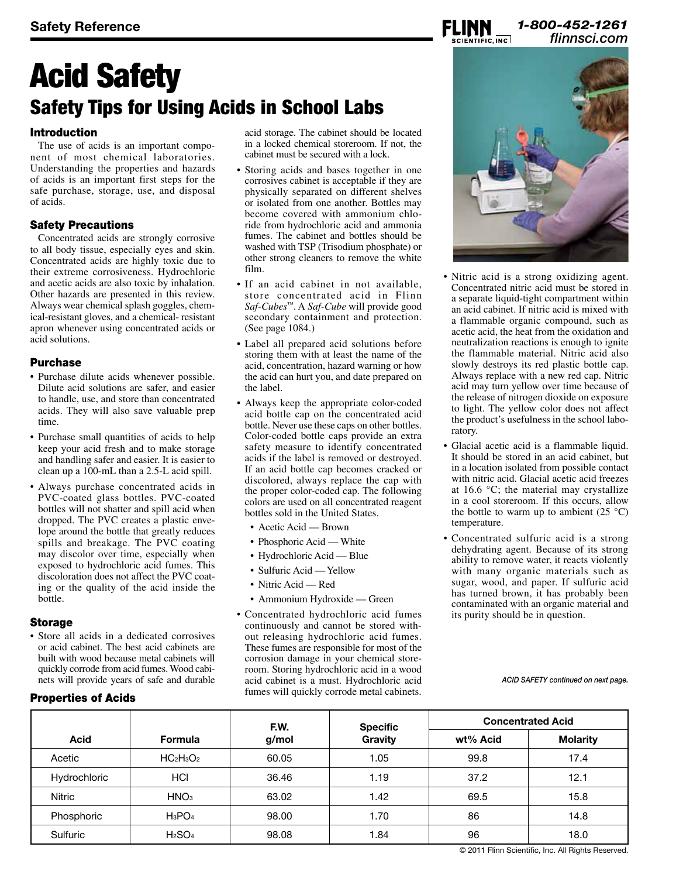## *1-800-452-1261 flinnsci.com* **Safety Reference**

# Acid Safety Safety Tips for Using Acids in School Labs

### Introduction

The use of acids is an important component of most chemical laboratories. Understanding the properties and hazards of acids is an important first steps for the safe purchase, storage, use, and disposal of acids.

## Safety Precautions

Concentrated acids are strongly corrosive to all body tissue, especially eyes and skin. Concentrated acids are highly toxic due to their extreme corrosiveness. Hydrochloric and acetic acids are also toxic by inhalation. Other hazards are presented in this review. Always wear chemical splash goggles, chemical-resistant gloves, and a chemical- resistant apron whenever using concentrated acids or acid solutions.

#### Purchase

- • Purchase dilute acids whenever possible. Dilute acid solutions are safer, and easier to handle, use, and store than concentrated acids. They will also save valuable prep time.
- • Purchase small quantities of acids to help keep your acid fresh and to make storage and handling safer and easier. It is easier to clean up a 100-mL than a 2.5-L acid spill.
- Always purchase concentrated acids in PVC-coated glass bottles. PVC-coated bottles will not shatter and spill acid when dropped. The PVC creates a plastic envelope around the bottle that greatly reduces spills and breakage. The PVC coating may discolor over time, especially when exposed to hydrochloric acid fumes. This discoloration does not affect the PVC coating or the quality of the acid inside the bottle.

#### **Storage**

• Store all acids in a dedicated corrosives or acid cabinet. The best acid cabinets are built with wood because metal cabinets will quickly corrode from acid fumes.Wood cabinets will provide years of safe and durable

## Properties of Acids

acid storage. The cabinet should be located in a locked chemical storeroom. If not, the cabinet must be secured with a lock.

- Storing acids and bases together in one corrosives cabinet is acceptable if they are physically separated on different shelves or isolated from one another. Bottles may become covered with ammonium chloride from hydrochloric acid and ammonia fumes. The cabinet and bottles should be washed with TSP (Trisodium phosphate) or other strong cleaners to remove the white film.
- If an acid cabinet in not available. store concentrated acid in Flinn *Saf-Cubes™*. A *Saf-Cube* will provide good secondary containment and protection. (See page 1084.)
- Label all prepared acid solutions before storing them with at least the name of the acid, concentration, hazard warning or how the acid can hurt you, and date prepared on the label.
- Always keep the appropriate color-coded acid bottle cap on the concentrated acid bottle. Never use these caps on other bottles. Color-coded bottle caps provide an extra safety measure to identify concentrated acids if the label is removed or destroyed. If an acid bottle cap becomes cracked or discolored, always replace the cap with the proper color-coded cap. The following colors are used on all concentrated reagent bottles sold in the United States.
	- Acetic Acid Brown
	- Phosphoric Acid White
	- Hydrochloric Acid Blue
	- Sulfuric Acid Yellow
	- Nitric Acid Red
	- Ammonium Hydroxide Green
- • Concentrated hydrochloric acid fumes continuously and cannot be stored without releasing hydrochloric acid fumes. These fumes are responsible for most of the corrosion damage in your chemical storeroom. Storing hydrochloric acid in a wood acid cabinet is a must. Hydrochloric acid fumes will quickly corrode metal cabinets.



- Nitric acid is a strong oxidizing agent. Concentrated nitric acid must be stored in a separate liquid-tight compartment within an acid cabinet. If nitric acid is mixed with a flammable organic compound, such as acetic acid, the heat from the oxidation and neutralization reactions is enough to ignite the flammable material. Nitric acid also slowly destroys its red plastic bottle cap. Always replace with a new red cap. Nitric acid may turn yellow over time because of the release of nitrogen dioxide on exposure to light. The yellow color does not affect the product's usefulness in the school laboratory.
- • Glacial acetic acid is a flammable liquid. It should be stored in an acid cabinet, but in a location isolated from possible contact with nitric acid. Glacial acetic acid freezes at 16.6 °C; the material may crystallize in a cool storeroom. If this occurs, allow the bottle to warm up to ambient  $(25 \degree C)$ temperature.
- Concentrated sulfuric acid is a strong dehydrating agent. Because of its strong ability to remove water, it reacts violently with many organic materials such as sugar, wood, and paper. If sulfuric acid has turned brown, it has probably been contaminated with an organic material and its purity should be in question.

*ACID SAFETY continued on next page.*

|              |                                | F.W.  | <b>Specific</b> | <b>Concentrated Acid</b> |                 |
|--------------|--------------------------------|-------|-----------------|--------------------------|-----------------|
| <b>Acid</b>  | <b>Formula</b>                 | g/mol | Gravity         | wt% Acid                 | <b>Molarity</b> |
| Acetic       | $HC2H3O2$                      | 60.05 | 1.05            | 99.8                     | 17.4            |
| Hydrochloric | HCI                            | 36.46 | 1.19            | 37.2                     | 12.1            |
| Nitric       | HNO <sub>3</sub>               | 63.02 | 1.42            | 69.5                     | 15.8            |
| Phosphoric   | $H_3PO_4$                      | 98.00 | 1.70            | 86                       | 14.8            |
| Sulfuric     | H <sub>2</sub> SO <sub>4</sub> | 98.08 | 1.84            | 96                       | 18.0            |

© 2011 Flinn Scientific, Inc. All Rights Reserved.